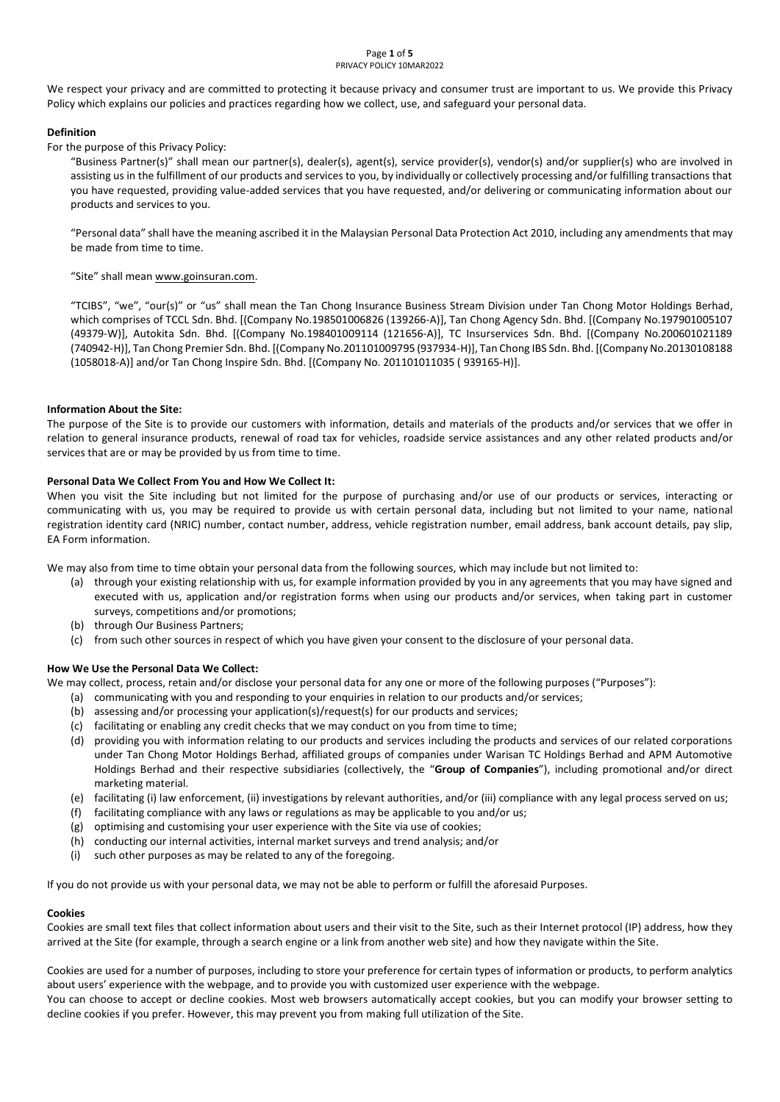#### Page **1** of **5** PRIVACY POLICY 10MAR2022

We respect your privacy and are committed to protecting it because privacy and consumer trust are important to us. We provide this Privacy Policy which explains our policies and practices regarding how we collect, use, and safeguard your personal data.

# **Definition**

### For the purpose of this Privacy Policy:

"Business Partner(s)" shall mean our partner(s), dealer(s), agent(s), service provider(s), vendor(s) and/or supplier(s) who are involved in assisting us in the fulfillment of our products and services to you, by individually or collectively processing and/or fulfilling transactions that you have requested, providing value-added services that you have requested, and/or delivering or communicating information about our products and services to you.

"Personal data" shall have the meaning ascribed it in the Malaysian Personal Data Protection Act 2010, including any amendments that may be made from time to time.

## "Site" shall mean www.goinsuran.com.

"TCIBS", "we", "our(s)" or "us" shall mean the Tan Chong Insurance Business Stream Division under Tan Chong Motor Holdings Berhad, which comprises of TCCL Sdn. Bhd. [(Company No.198501006826 (139266-A)], Tan Chong Agency Sdn. Bhd. [(Company No.197901005107 (49379-W)], Autokita Sdn. Bhd. [(Company No.198401009114 (121656-A)], TC Insurservices Sdn. Bhd. [(Company No.200601021189 (740942-H)], Tan Chong Premier Sdn. Bhd. [(Company No.201101009795 (937934-H)], Tan Chong IBS Sdn. Bhd. [(Company No.20130108188 (1058018-A)] and/or Tan Chong Inspire Sdn. Bhd. [(Company No. 201101011035 ( 939165-H)].

### **Information About the Site:**

The purpose of the Site is to provide our customers with information, details and materials of the products and/or services that we offer in relation to general insurance products, renewal of road tax for vehicles, roadside service assistances and any other related products and/or services that are or may be provided by us from time to time.

# **Personal Data We Collect From You and How We Collect It:**

When you visit the Site including but not limited for the purpose of purchasing and/or use of our products or services, interacting or communicating with us, you may be required to provide us with certain personal data, including but not limited to your name, national registration identity card (NRIC) number, contact number, address, vehicle registration number, email address, bank account details, pay slip, EA Form information.

We may also from time to time obtain your personal data from the following sources, which may include but not limited to:

- (a) through your existing relationship with us, for example information provided by you in any agreements that you may have signed and executed with us, application and/or registration forms when using our products and/or services, when taking part in customer surveys, competitions and/or promotions;
- (b) through Our Business Partners;
- (c) from such other sources in respect of which you have given your consent to the disclosure of your personal data.

# **How We Use the Personal Data We Collect:**

We may collect, process, retain and/or disclose your personal data for any one or more of the following purposes ("Purposes"):

- (a) communicating with you and responding to your enquiries in relation to our products and/or services;
- (b) assessing and/or processing your application(s)/request(s) for our products and services;
- (c) facilitating or enabling any credit checks that we may conduct on you from time to time;
- (d) providing you with information relating to our products and services including the products and services of our related corporations under Tan Chong Motor Holdings Berhad, affiliated groups of companies under Warisan TC Holdings Berhad and APM Automotive Holdings Berhad and their respective subsidiaries (collectively, the "**Group of Companies**"), including promotional and/or direct marketing material.
- (e) facilitating (i) law enforcement, (ii) investigations by relevant authorities, and/or (iii) compliance with any legal process served on us;
- (f) facilitating compliance with any laws or regulations as may be applicable to you and/or us;
- (g) optimising and customising your user experience with the Site via use of cookies;
- (h) conducting our internal activities, internal market surveys and trend analysis; and/or
- (i) such other purposes as may be related to any of the foregoing.

If you do not provide us with your personal data, we may not be able to perform or fulfill the aforesaid Purposes.

### **Cookies**

Cookies are small text files that collect information about users and their visit to the Site, such as their Internet protocol (IP) address, how they arrived at the Site (for example, through a search engine or a link from another web site) and how they navigate within the Site.

Cookies are used for a number of purposes, including to store your preference for certain types of information or products, to perform analytics about users' experience with the webpage, and to provide you with customized user experience with the webpage.

You can choose to accept or decline cookies. Most web browsers automatically accept cookies, but you can modify your browser setting to decline cookies if you prefer. However, this may prevent you from making full utilization of the Site.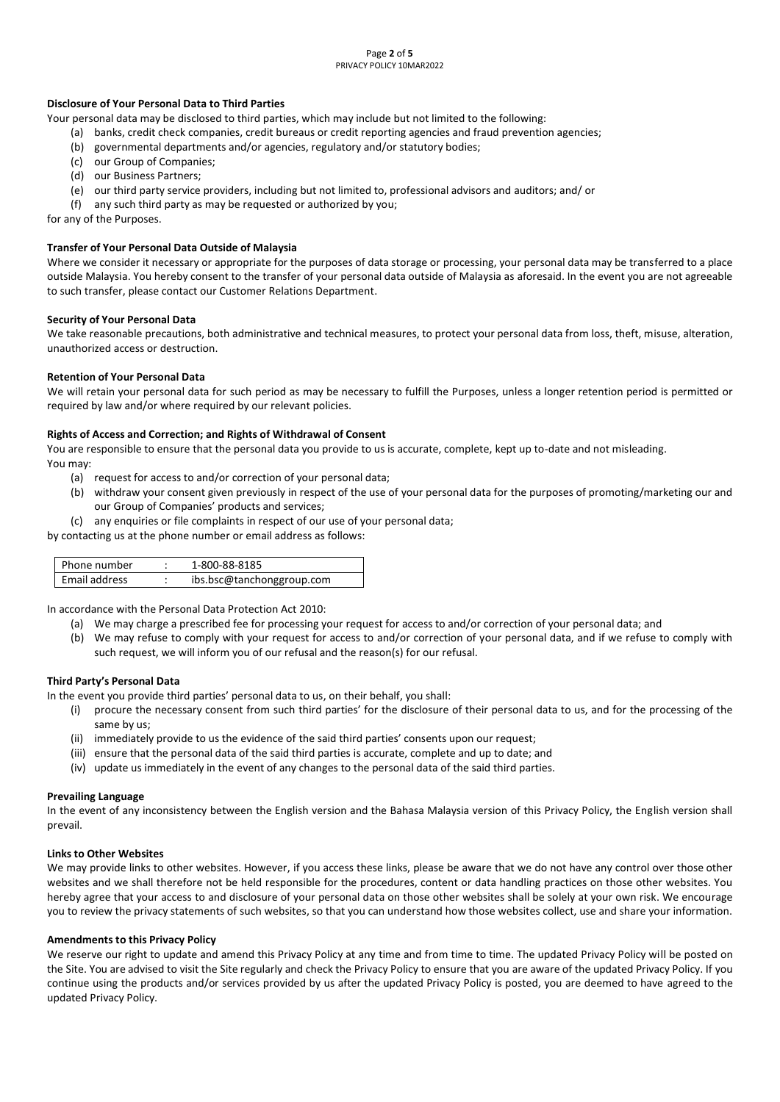#### Page **2** of **5** PRIVACY POLICY 10MAR2022

# **Disclosure of Your Personal Data to Third Parties**

Your personal data may be disclosed to third parties, which may include but not limited to the following:

- (a) banks, credit check companies, credit bureaus or credit reporting agencies and fraud prevention agencies;
- (b) governmental departments and/or agencies, regulatory and/or statutory bodies;
- (c) our Group of Companies;
- (d) our Business Partners;
- (e) our third party service providers, including but not limited to, professional advisors and auditors; and/ or
- (f) any such third party as may be requested or authorized by you;

for any of the Purposes.

# **Transfer of Your Personal Data Outside of Malaysia**

Where we consider it necessary or appropriate for the purposes of data storage or processing, your personal data may be transferred to a place outside Malaysia. You hereby consent to the transfer of your personal data outside of Malaysia as aforesaid. In the event you are not agreeable to such transfer, please contact our Customer Relations Department.

### **Security of Your Personal Data**

We take reasonable precautions, both administrative and technical measures, to protect your personal data from loss, theft, misuse, alteration, unauthorized access or destruction.

### **Retention of Your Personal Data**

We will retain your personal data for such period as may be necessary to fulfill the Purposes, unless a longer retention period is permitted or required by law and/or where required by our relevant policies.

### **Rights of Access and Correction; and Rights of Withdrawal of Consent**

You are responsible to ensure that the personal data you provide to us is accurate, complete, kept up to-date and not misleading. You may:

- (a) request for access to and/or correction of your personal data;
- (b) withdraw your consent given previously in respect of the use of your personal data for the purposes of promoting/marketing our and our Group of Companies' products and services;
- (c) any enquiries or file complaints in respect of our use of your personal data;

by contacting us at the phone number or email address as follows:

| Phone number    | 1-800-88-8185             |
|-----------------|---------------------------|
| L Email address | ibs.bsc@tanchonggroup.com |

In accordance with the Personal Data Protection Act 2010:

- (a) We may charge a prescribed fee for processing your request for access to and/or correction of your personal data; and
- (b) We may refuse to comply with your request for access to and/or correction of your personal data, and if we refuse to comply with such request, we will inform you of our refusal and the reason(s) for our refusal.

### **Third Party's Personal Data**

In the event you provide third parties' personal data to us, on their behalf, you shall:

- (i) procure the necessary consent from such third parties' for the disclosure of their personal data to us, and for the processing of the same by us;
- (ii) immediately provide to us the evidence of the said third parties' consents upon our request;
- (iii) ensure that the personal data of the said third parties is accurate, complete and up to date; and
- (iv) update us immediately in the event of any changes to the personal data of the said third parties.

### **Prevailing Language**

In the event of any inconsistency between the English version and the Bahasa Malaysia version of this Privacy Policy, the English version shall prevail.

### **Links to Other Websites**

We may provide links to other websites. However, if you access these links, please be aware that we do not have any control over those other websites and we shall therefore not be held responsible for the procedures, content or data handling practices on those other websites. You hereby agree that your access to and disclosure of your personal data on those other websites shall be solely at your own risk. We encourage you to review the privacy statements of such websites, so that you can understand how those websites collect, use and share your information.

### **Amendments to this Privacy Policy**

We reserve our right to update and amend this Privacy Policy at any time and from time to time. The updated Privacy Policy will be posted on the Site. You are advised to visit the Site regularly and check the Privacy Policy to ensure that you are aware of the updated Privacy Policy. If you continue using the products and/or services provided by us after the updated Privacy Policy is posted, you are deemed to have agreed to the updated Privacy Policy.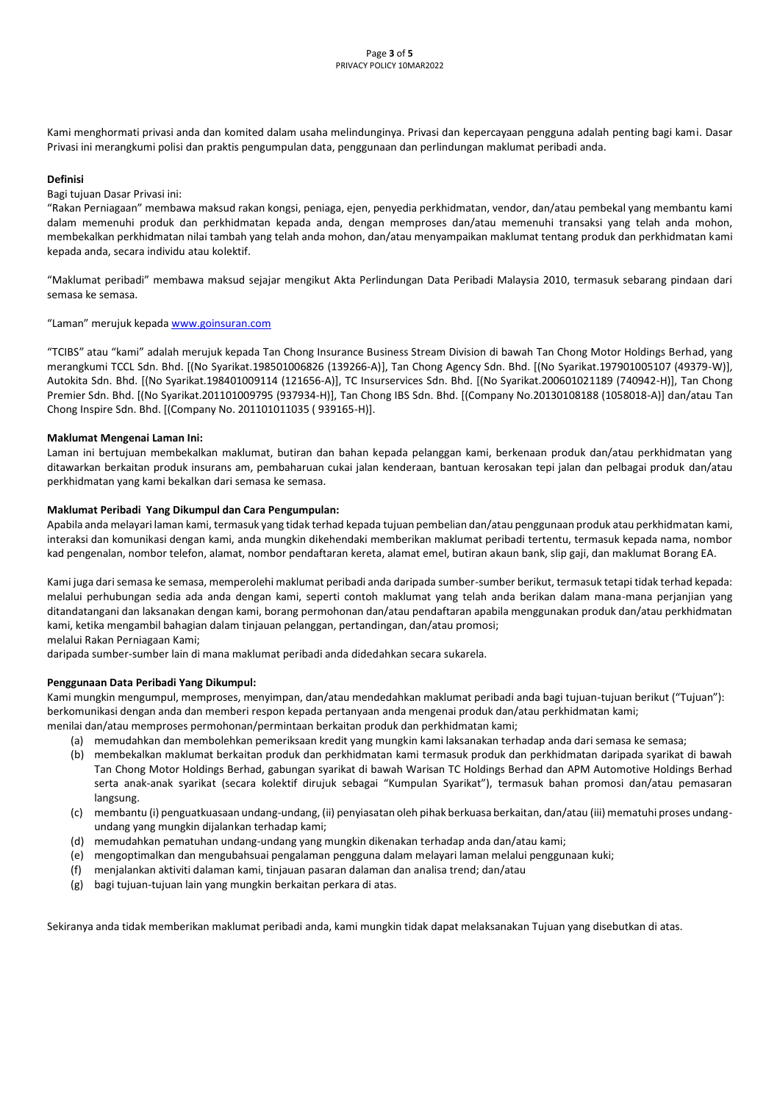Kami menghormati privasi anda dan komited dalam usaha melindunginya. Privasi dan kepercayaan pengguna adalah penting bagi kami. Dasar Privasi ini merangkumi polisi dan praktis pengumpulan data, penggunaan dan perlindungan maklumat peribadi anda.

## **Definisi**

### Bagi tujuan Dasar Privasi ini:

"Rakan Perniagaan" membawa maksud rakan kongsi, peniaga, ejen, penyedia perkhidmatan, vendor, dan/atau pembekal yang membantu kami dalam memenuhi produk dan perkhidmatan kepada anda, dengan memproses dan/atau memenuhi transaksi yang telah anda mohon, membekalkan perkhidmatan nilai tambah yang telah anda mohon, dan/atau menyampaikan maklumat tentang produk dan perkhidmatan kami kepada anda, secara individu atau kolektif.

"Maklumat peribadi" membawa maksud sejajar mengikut Akta Perlindungan Data Peribadi Malaysia 2010, termasuk sebarang pindaan dari semasa ke semasa.

### "Laman" merujuk kepada [www.goinsuran.com](https://www.goinsuran.com/)

"TCIBS" atau "kami" adalah merujuk kepada Tan Chong Insurance Business Stream Division di bawah Tan Chong Motor Holdings Berhad, yang merangkumi TCCL Sdn. Bhd. [(No Syarikat.198501006826 (139266-A)], Tan Chong Agency Sdn. Bhd. [(No Syarikat.197901005107 (49379-W)], Autokita Sdn. Bhd. [(No Syarikat.198401009114 (121656-A)], TC Insurservices Sdn. Bhd. [(No Syarikat.200601021189 (740942-H)], Tan Chong Premier Sdn. Bhd. [(No Syarikat.201101009795 (937934-H)], Tan Chong IBS Sdn. Bhd. [(Company No.20130108188 (1058018-A)] dan/atau Tan Chong Inspire Sdn. Bhd. [(Company No. 201101011035 ( 939165-H)].

## **Maklumat Mengenai Laman Ini:**

Laman ini bertujuan membekalkan maklumat, butiran dan bahan kepada pelanggan kami, berkenaan produk dan/atau perkhidmatan yang ditawarkan berkaitan produk insurans am, pembaharuan cukai jalan kenderaan, bantuan kerosakan tepi jalan dan pelbagai produk dan/atau perkhidmatan yang kami bekalkan dari semasa ke semasa.

# **Maklumat Peribadi Yang Dikumpul dan Cara Pengumpulan:**

Apabila anda melayari laman kami, termasuk yang tidak terhad kepada tujuan pembelian dan/atau penggunaan produk atau perkhidmatan kami, interaksi dan komunikasi dengan kami, anda mungkin dikehendaki memberikan maklumat peribadi tertentu, termasuk kepada nama, nombor kad pengenalan, nombor telefon, alamat, nombor pendaftaran kereta, alamat emel, butiran akaun bank, slip gaji, dan maklumat Borang EA.

Kami juga dari semasa ke semasa, memperolehi maklumat peribadi anda daripada sumber-sumber berikut, termasuk tetapi tidak terhad kepada: melalui perhubungan sedia ada anda dengan kami, seperti contoh maklumat yang telah anda berikan dalam mana-mana perjanjian yang ditandatangani dan laksanakan dengan kami, borang permohonan dan/atau pendaftaran apabila menggunakan produk dan/atau perkhidmatan kami, ketika mengambil bahagian dalam tinjauan pelanggan, pertandingan, dan/atau promosi; melalui Rakan Perniagaan Kami;

daripada sumber-sumber lain di mana maklumat peribadi anda didedahkan secara sukarela.

# **Penggunaan Data Peribadi Yang Dikumpul:**

Kami mungkin mengumpul, memproses, menyimpan, dan/atau mendedahkan maklumat peribadi anda bagi tujuan-tujuan berikut ("Tujuan"): berkomunikasi dengan anda dan memberi respon kepada pertanyaan anda mengenai produk dan/atau perkhidmatan kami; menilai dan/atau memproses permohonan/permintaan berkaitan produk dan perkhidmatan kami;

- (a) memudahkan dan membolehkan pemeriksaan kredit yang mungkin kami laksanakan terhadap anda dari semasa ke semasa;
- (b) membekalkan maklumat berkaitan produk dan perkhidmatan kami termasuk produk dan perkhidmatan daripada syarikat di bawah Tan Chong Motor Holdings Berhad, gabungan syarikat di bawah Warisan TC Holdings Berhad dan APM Automotive Holdings Berhad serta anak-anak syarikat (secara kolektif dirujuk sebagai "Kumpulan Syarikat"), termasuk bahan promosi dan/atau pemasaran langsung.
- (c) membantu (i) penguatkuasaan undang-undang, (ii) penyiasatan oleh pihak berkuasa berkaitan, dan/atau (iii) mematuhi proses undangundang yang mungkin dijalankan terhadap kami;
- (d) memudahkan pematuhan undang-undang yang mungkin dikenakan terhadap anda dan/atau kami;
- (e) mengoptimalkan dan mengubahsuai pengalaman pengguna dalam melayari laman melalui penggunaan kuki;
- (f) menjalankan aktiviti dalaman kami, tinjauan pasaran dalaman dan analisa trend; dan/atau
- (g) bagi tujuan-tujuan lain yang mungkin berkaitan perkara di atas.

Sekiranya anda tidak memberikan maklumat peribadi anda, kami mungkin tidak dapat melaksanakan Tujuan yang disebutkan di atas.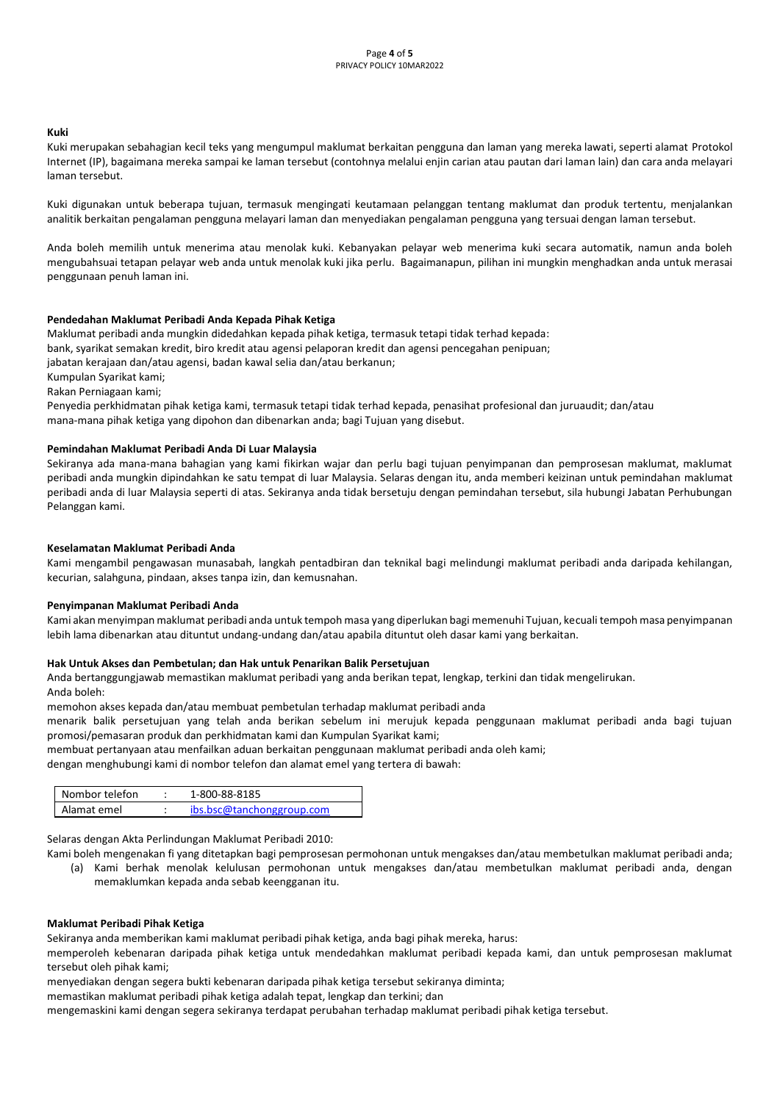### **Kuki**

Kuki merupakan sebahagian kecil teks yang mengumpul maklumat berkaitan pengguna dan laman yang mereka lawati, seperti alamat Protokol Internet (IP), bagaimana mereka sampai ke laman tersebut (contohnya melalui enjin carian atau pautan dari laman lain) dan cara anda melayari laman tersebut.

Kuki digunakan untuk beberapa tujuan, termasuk mengingati keutamaan pelanggan tentang maklumat dan produk tertentu, menjalankan analitik berkaitan pengalaman pengguna melayari laman dan menyediakan pengalaman pengguna yang tersuai dengan laman tersebut.

Anda boleh memilih untuk menerima atau menolak kuki. Kebanyakan pelayar web menerima kuki secara automatik, namun anda boleh mengubahsuai tetapan pelayar web anda untuk menolak kuki jika perlu. Bagaimanapun, pilihan ini mungkin menghadkan anda untuk merasai penggunaan penuh laman ini.

### **Pendedahan Maklumat Peribadi Anda Kepada Pihak Ketiga**

Maklumat peribadi anda mungkin didedahkan kepada pihak ketiga, termasuk tetapi tidak terhad kepada: bank, syarikat semakan kredit, biro kredit atau agensi pelaporan kredit dan agensi pencegahan penipuan; jabatan kerajaan dan/atau agensi, badan kawal selia dan/atau berkanun; Kumpulan Syarikat kami;

Rakan Perniagaan kami;

Penyedia perkhidmatan pihak ketiga kami, termasuk tetapi tidak terhad kepada, penasihat profesional dan juruaudit; dan/atau mana-mana pihak ketiga yang dipohon dan dibenarkan anda; bagi Tujuan yang disebut.

## **Pemindahan Maklumat Peribadi Anda Di Luar Malaysia**

Sekiranya ada mana-mana bahagian yang kami fikirkan wajar dan perlu bagi tujuan penyimpanan dan pemprosesan maklumat, maklumat peribadi anda mungkin dipindahkan ke satu tempat di luar Malaysia. Selaras dengan itu, anda memberi keizinan untuk pemindahan maklumat peribadi anda di luar Malaysia seperti di atas. Sekiranya anda tidak bersetuju dengan pemindahan tersebut, sila hubungi Jabatan Perhubungan Pelanggan kami.

### **Keselamatan Maklumat Peribadi Anda**

Kami mengambil pengawasan munasabah, langkah pentadbiran dan teknikal bagi melindungi maklumat peribadi anda daripada kehilangan, kecurian, salahguna, pindaan, akses tanpa izin, dan kemusnahan.

### **Penyimpanan Maklumat Peribadi Anda**

Kami akan menyimpan maklumat peribadi anda untuk tempoh masa yang diperlukan bagi memenuhi Tujuan, kecuali tempoh masa penyimpanan lebih lama dibenarkan atau dituntut undang-undang dan/atau apabila dituntut oleh dasar kami yang berkaitan.

### **Hak Untuk Akses dan Pembetulan; dan Hak untuk Penarikan Balik Persetujuan**

Anda bertanggungjawab memastikan maklumat peribadi yang anda berikan tepat, lengkap, terkini dan tidak mengelirukan.

Anda boleh:

memohon akses kepada dan/atau membuat pembetulan terhadap maklumat peribadi anda

menarik balik persetujuan yang telah anda berikan sebelum ini merujuk kepada penggunaan maklumat peribadi anda bagi tujuan promosi/pemasaran produk dan perkhidmatan kami dan Kumpulan Syarikat kami;

membuat pertanyaan atau menfailkan aduan berkaitan penggunaan maklumat peribadi anda oleh kami;

dengan menghubungi kami di nombor telefon dan alamat emel yang tertera di bawah:

| Nombor telefon | 1-800-88-8185             |
|----------------|---------------------------|
| Alamat emel    | ibs.bsc@tanchonggroup.com |

### Selaras dengan Akta Perlindungan Maklumat Peribadi 2010:

Kami boleh mengenakan fi yang ditetapkan bagi pemprosesan permohonan untuk mengakses dan/atau membetulkan maklumat peribadi anda;

(a) Kami berhak menolak kelulusan permohonan untuk mengakses dan/atau membetulkan maklumat peribadi anda, dengan memaklumkan kepada anda sebab keengganan itu.

### **Maklumat Peribadi Pihak Ketiga**

Sekiranya anda memberikan kami maklumat peribadi pihak ketiga, anda bagi pihak mereka, harus:

memperoleh kebenaran daripada pihak ketiga untuk mendedahkan maklumat peribadi kepada kami, dan untuk pemprosesan maklumat tersebut oleh pihak kami;

menyediakan dengan segera bukti kebenaran daripada pihak ketiga tersebut sekiranya diminta;

memastikan maklumat peribadi pihak ketiga adalah tepat, lengkap dan terkini; dan

mengemaskini kami dengan segera sekiranya terdapat perubahan terhadap maklumat peribadi pihak ketiga tersebut.